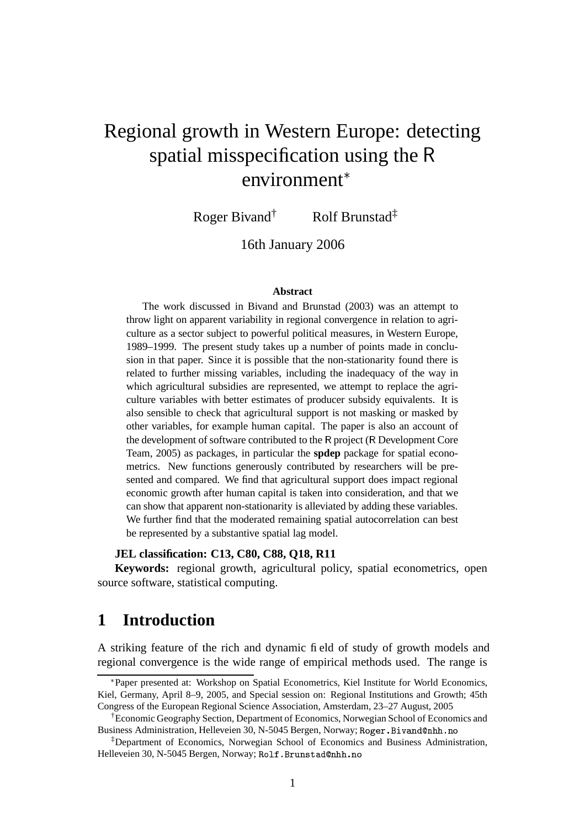# Regional growth in Western Europe: detecting spatial misspecification using the R environment

Roger Bivand<sup>†</sup> Rolf Brunstad<sup>‡</sup>

16th January 2006

#### **Abstract**

The work discussed in Bivand and Brunstad (2003) was an attempt to throw light on apparent variability in regional convergence in relation to agriculture as a sector subject to powerful political measures, in Western Europe, 1989–1999. The present study takes up a number of points made in conclusion in that paper. Since it is possible that the non-stationarity found there is related to further missing variables, including the inadequacy of the way in which agricultural subsidies are represented, we attempt to replace the agriculture variables with better estimates of producer subsidy equivalents. It is also sensible to check that agricultural support is not masking or masked by other variables, for example human capital. The paper is also an account of the development of software contributed to the R project (R Development Core Team, 2005) as packages, in particular the **spdep** package for spatial econometrics. New functions generously contributed by researchers will be presented and compared. We find that agricultural support does impact regional economic growth after human capital is taken into consideration, and that we can show that apparent non-stationarity is alleviated by adding these variables. We further find that the moderated remaining spatial autocorrelation can best be represented by a substantive spatial lag model.

#### **JEL classification: C13, C80, C88, Q18, R11**

**Keywords:** regional growth, agricultural policy, spatial econometrics, open source software, statistical computing.

### **1 Introduction**

A striking feature of the rich and dynamic field of study of growth models and regional convergence is the wide range of empirical methods used. The range is

Paper presented at: Workshop on Spatial Econometrics, Kiel Institute for World Economics, Kiel, Germany, April 8–9, 2005, and Special session on: Regional Institutions and Growth; 45th Congress of the European Regional Science Association, Amsterdam, 23–27 August, 2005

<sup>†</sup>Economic Geography Section, Department of Economics, Norwegian School of Economics and Business Administration, Helleveien 30, N-5045 Bergen, Norway; 


<sup>‡</sup>Department of Economics, Norwegian School of Economics and Business Administration, Helleveien 30, N-5045 Bergen, Norway; Rolf . Brunstad@nhh . no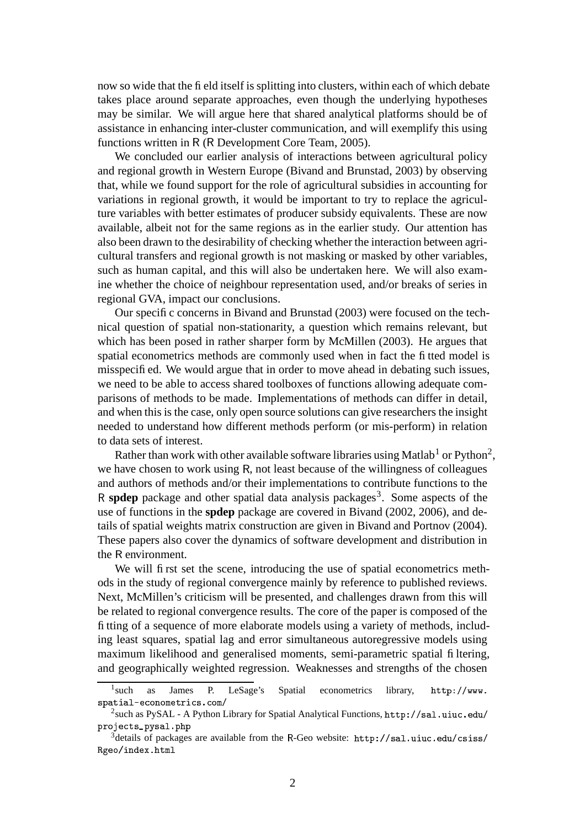now so wide that the field itself issplitting into clusters, within each of which debate takes place around separate approaches, even though the underlying hypotheses may be similar. We will argue here that shared analytical platforms should be of assistance in enhancing inter-cluster communication, and will exemplify this using functions written in R (R Development Core Team, 2005).

We concluded our earlier analysis of interactions between agricultural policy and regional growth in Western Europe (Bivand and Brunstad, 2003) by observing that, while we found support for the role of agricultural subsidies in accounting for variations in regional growth, it would be important to try to replace the agriculture variables with better estimates of producer subsidy equivalents. These are now available, albeit not for the same regions as in the earlier study. Our attention has also been drawn to the desirability of checking whether the interaction between agricultural transfers and regional growth is not masking or masked by other variables, such as human capital, and this will also be undertaken here. We will also examine whether the choice of neighbour representation used, and/or breaks of series in regional GVA, impact our conclusions.

Our specific concerns in Bivand and Brunstad (2003) were focused on the technical question of spatial non-stationarity, a question which remains relevant, but which has been posed in rather sharper form by McMillen (2003). He argues that spatial econometrics methods are commonly used when in fact the fitted model is misspecified. We would argue that in order to move ahead in debating such issues, we need to be able to access shared toolboxes of functions allowing adequate comparisons of methods to be made. Implementations of methods can differ in detail, and when thisis the case, only open source solutions can give researchers the insight needed to understand how different methods perform (or mis-perform) in relation to data sets of interest.

Rather than work with other available software libraries using Matlab<sup>1</sup> or Python<sup>2</sup>, we have chosen to work using R, not least because of the willingness of colleagues and authors of methods and/or their implementations to contribute functions to the R spdep package and other spatial data analysis packages<sup>3</sup>. Some aspects of the use of functions in the **spdep** package are covered in Bivand (2002, 2006), and details of spatial weights matrix construction are given in Bivand and Portnov (2004). These papers also cover the dynamics of software development and distribution in the R environment.

We will first set the scene, introducing the use of spatial econometrics methods in the study of regional convergence mainly by reference to published reviews. Next, McMillen's criticism will be presented, and challenges drawn from this will be related to regional convergence results. The core of the paper is composed of the fitting of a sequence of more elaborate models using a variety of methods, including least squares, spatial lag and error simultaneous autoregressive models using maximum likelihood and generalised moments, semi-parametric spatial filtering, and geographically weighted regression. Weaknesses and strengths of the chosen

 $1$  such as James P. LeSage's Spatial econometrics library,  $http://www.$ ! '#"\$ 
' # ! 

 $^2$ such as PySAL - A Python Library for Spatial Analytical Functions, http://sal.uiuc.edu/ 
\$# ! ! 

 $3$  details of packages are available from the R-Geo website: http://sal.uiuc.edu/csiss/ Rgeo/index.html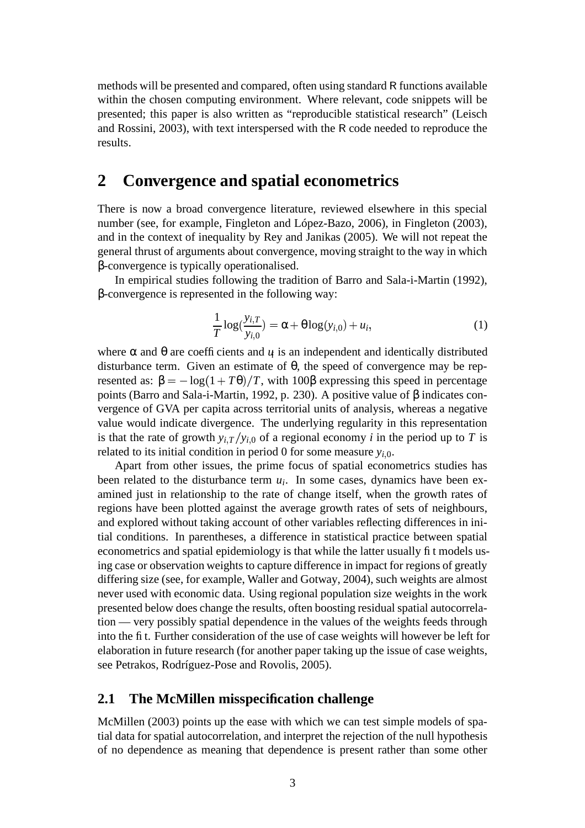methods will be presented and compared, often using standard R functions available within the chosen computing environment. Where relevant, code snippets will be presented; this paper is also written as "reproducible statistical research" (Leisch and Rossini, 2003), with text interspersed with the R code needed to reproduce the results.

### **2 Convergence and spatial econometrics**

There is now a broad convergence literature, reviewed elsewhere in this special number (see, for example, Fingleton and López-Bazo, 2006), in Fingleton (2003), and in the context of inequality by Rey and Janikas (2005). We will not repeat the general thrust of arguments about convergence, moving straight to the way in which β-convergence is typically operationalised.

In empirical studies following the tradition of Barro and Sala-i-Martin (1992), β-convergence is represented in the following way:

$$
\frac{1}{T}\log(\frac{y_{i,T}}{y_{i,0}}) = \alpha + \theta \log(y_{i,0}) + u_i,
$$
\n(1)

where  $\alpha$  and  $\theta$  are coefficients and  $\mu$  is an independent and identically distributed disturbance term. Given an estimate of θ, the speed of convergence may be represented as:  $\beta = -\log(1 + T\theta)/T$ , with 100 $\beta$  expressing this speed in percentage points (Barro and Sala-i-Martin, 1992, p. 230). A positive value of β indicates convergence of GVA per capita across territorial units of analysis, whereas a negative value would indicate divergence. The underlying regularity in this representation is that the rate of growth  $y_{i,T}/y_{i,0}$  of a regional economy *i* in the period up to *T* is related to its initial condition in period 0 for some measure  $y_{i,0}$ .

Apart from other issues, the prime focus of spatial econometrics studies has been related to the disturbance term  $u_i$ . In some cases, dynamics have been examined just in relationship to the rate of change itself, when the growth rates of regions have been plotted against the average growth rates of sets of neighbours, and explored without taking account of other variables reflecting differences in initial conditions. In parentheses, a difference in statistical practice between spatial econometrics and spatial epidemiology is that while the latter usually fit models using case or observation weights to capture difference in impact for regions of greatly differing size (see, for example, Waller and Gotway, 2004), such weights are almost never used with economic data. Using regional population size weights in the work presented below does change the results, often boosting residual spatial autocorrelation — very possibly spatial dependence in the values of the weights feeds through into the fit. Further consideration of the use of case weights will however be left for elaboration in future research (for another paper taking up the issue of case weights, see Petrakos, Rodríguez-Pose and Rovolis, 2005).

#### **2.1 The McMillen misspecification challenge**

McMillen (2003) points up the ease with which we can test simple models of spatial data for spatial autocorrelation, and interpret the rejection of the null hypothesis of no dependence as meaning that dependence is present rather than some other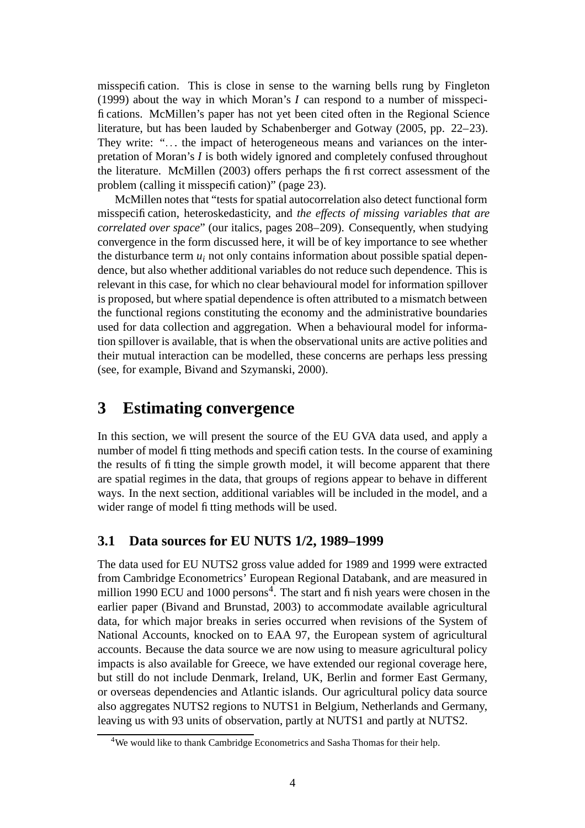misspecification. This is close in sense to the warning bells rung by Fingleton (1999) about the way in which Moran's *I* can respond to a number of misspecifications. McMillen's paper has not yet been cited often in the Regional Science literature, but has been lauded by Schabenberger and Gotway (2005, pp. 22–23). They write: "... the impact of heterogeneous means and variances on the interpretation of Moran's *I* is both widely ignored and completely confused throughout the literature. McMillen (2003) offers perhaps the first correct assessment of the problem (calling it misspecification)" (page 23).

McMillen notes that "tests for spatial autocorrelation also detect functional form misspecification, heteroskedasticity, and *the effects of missing variables that are correlated over space*" (our italics, pages 208–209). Consequently, when studying convergence in the form discussed here, it will be of key importance to see whether the disturbance term  $u_i$  not only contains information about possible spatial dependence, but also whether additional variables do not reduce such dependence. This is relevant in this case, for which no clear behavioural model for information spillover is proposed, but where spatial dependence is often attributed to a mismatch between the functional regions constituting the economy and the administrative boundaries used for data collection and aggregation. When a behavioural model for information spillover is available, that is when the observational units are active polities and their mutual interaction can be modelled, these concerns are perhaps less pressing (see, for example, Bivand and Szymanski, 2000).

### **3 Estimating convergence**

In this section, we will present the source of the EU GVA data used, and apply a number of model fitting methods and specification tests. In the course of examining the results of fitting the simple growth model, it will become apparent that there are spatial regimes in the data, that groups of regions appear to behave in different ways. In the next section, additional variables will be included in the model, and a wider range of model fitting methods will be used.

### **3.1 Data sources for EU NUTS 1/2, 1989–1999**

The data used for EU NUTS2 gross value added for 1989 and 1999 were extracted from Cambridge Econometrics' European Regional Databank, and are measured in million 1990 ECU and 1000 persons<sup>4</sup>. The start and finish years were chosen in the earlier paper (Bivand and Brunstad, 2003) to accommodate available agricultural data, for which major breaks in series occurred when revisions of the System of National Accounts, knocked on to EAA 97, the European system of agricultural accounts. Because the data source we are now using to measure agricultural policy impacts is also available for Greece, we have extended our regional coverage here, but still do not include Denmark, Ireland, UK, Berlin and former East Germany, or overseas dependencies and Atlantic islands. Our agricultural policy data source also aggregates NUTS2 regions to NUTS1 in Belgium, Netherlands and Germany, leaving us with 93 units of observation, partly at NUTS1 and partly at NUTS2.

<sup>4</sup>We would like to thank Cambridge Econometrics and Sasha Thomas for their help.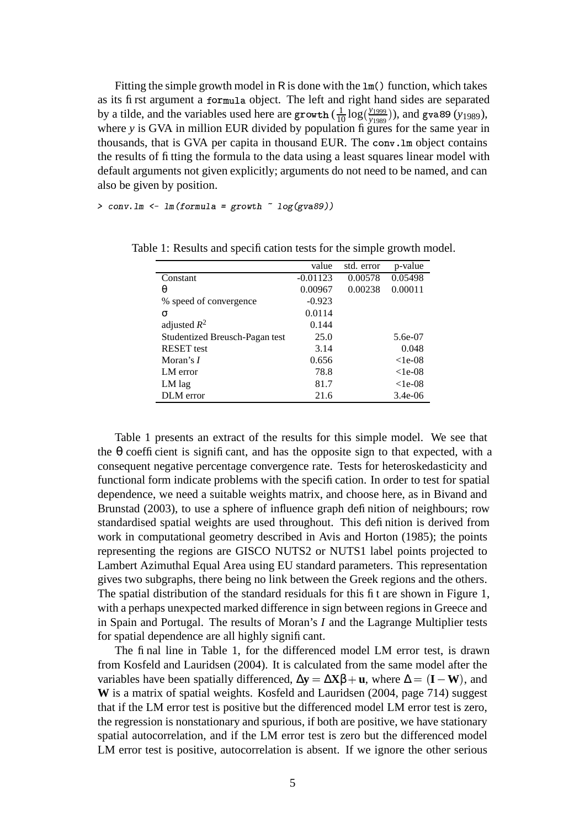Fitting the simple growth model in  $R$  is done with the  $lm()$  function, which takes as its first argument a formula object. The left and right hand sides are separated by a tilde, and the variables used here are growth  $(\frac{1}{10} \log(\frac{y_{1999}}{y_{1989}}))$ *y*<sub>1989</sub>), and gva89 (*y*<sub>1989</sub>), where *y* is GVA in million EUR divided by population figures for the same year in thousands, that is GVA per capita in thousand EUR. The conv. Im object contains the results of fitting the formula to the data using a least squares linear model with default arguments not given explicitly; arguments do not need to be named, and can also be given by position.

!#"%\$'&)(+\*-,/.0(+\*2143!65\*%7-(8:9:;/5!/<=#>@?A( !#;B1C;%\$8EDFEG/G

|                                | value      | std. error | p-value   |
|--------------------------------|------------|------------|-----------|
| Constant                       | $-0.01123$ | 0.00578    | 0.05498   |
| θ                              | 0.00967    | 0.00238    | 0.00011   |
| % speed of convergence         | $-0.923$   |            |           |
| σ                              | 0.0114     |            |           |
| adjusted $R^2$                 | 0.144      |            |           |
| Studentized Breusch-Pagan test | 25.0       |            | 5.6e-07   |
| <b>RESET</b> test              | 3.14       |            | 0.048     |
| Moran's $I$                    | 0.656      |            | $<$ 1e-08 |
| LM error                       | 78.8       |            | $<$ 1e-08 |
| LM lag                         | 81.7       |            | $<$ 1e-08 |
| DLM error                      | 21.6       |            | $3.4e-06$ |

Table 1: Results and specification tests for the simple growth model.

Table 1 presents an extract of the results for this simple model. We see that the  $\theta$  coefficient is significant, and has the opposite sign to that expected, with a consequent negative percentage convergence rate. Tests for heteroskedasticity and functional form indicate problems with the specification. In order to test for spatial dependence, we need a suitable weights matrix, and choose here, as in Bivand and Brunstad (2003), to use a sphere of influence graph definition of neighbours; row standardised spatial weights are used throughout. This definition is derived from work in computational geometry described in Avis and Horton (1985); the points representing the regions are GISCO NUTS2 or NUTS1 label points projected to Lambert Azimuthal Equal Area using EU standard parameters. This representation gives two subgraphs, there being no link between the Greek regions and the others. The spatial distribution of the standard residuals for this fit are shown in Figure 1, with a perhaps unexpected marked difference in sign between regions in Greece and in Spain and Portugal. The results of Moran's *I* and the Lagrange Multiplier tests for spatial dependence are all highly significant.

The final line in Table 1, for the differenced model LM error test, is drawn from Kosfeld and Lauridsen (2004). It is calculated from the same model after the variables have been spatially differenced,  $\Delta y = \Delta X\beta + u$ , where  $\Delta = (I - W)$ , and **W** is a matrix of spatial weights. Kosfeld and Lauridsen (2004, page 714) suggest that if the LM error test is positive but the differenced model LM error test is zero, the regression is nonstationary and spurious, if both are positive, we have stationary spatial autocorrelation, and if the LM error test is zero but the differenced model LM error test is positive, autocorrelation is absent. If we ignore the other serious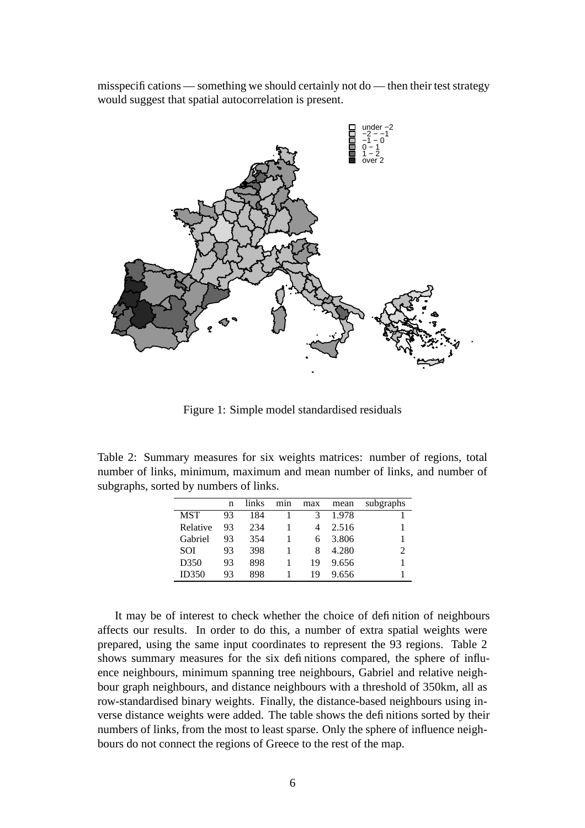misspecifications — something we should certainly not do — then their test strategy would suggest that spatial autocorrelation is present.



Figure 1: Simple model standardised residuals

Table 2: Summary measures for six weights matrices: number of regions, total number of links, minimum, maximum and mean number of links, and number of subgraphs, sorted by numbers of links.

|              | n  | links | mın | max | mean  | subgraphs |
|--------------|----|-------|-----|-----|-------|-----------|
| <b>MST</b>   | 93 | 184   |     |     | 1.978 |           |
| Relative     | 93 | 234   |     |     | 2.516 |           |
| Gabriel      | 93 | 354   |     | 6   | 3.806 |           |
| SOI          | 93 | 398   |     | 8   | 4.280 | 2         |
| D350         | 93 | 898   |     | 19  | 9.656 |           |
| <b>ID350</b> | 93 | 898   |     | 19  | 9.656 |           |

It may be of interest to check whether the choice of definition of neighbours affects our results. In order to do this, a number of extra spatial weights were prepared, using the same input coordinates to represent the 93 regions. Table 2 shows summary measures for the six definitions compared, the sphere of influence neighbours, minimum spanning tree neighbours, Gabriel and relative neighbour graph neighbours, and distance neighbours with a threshold of 350km, all as row-standardised binary weights. Finally, the distance-based neighbours using inverse distance weights were added. The table shows the definitions sorted by their numbers of links, from the most to least sparse. Only the sphere of influence neighbours do not connect the regions of Greece to the rest of the map.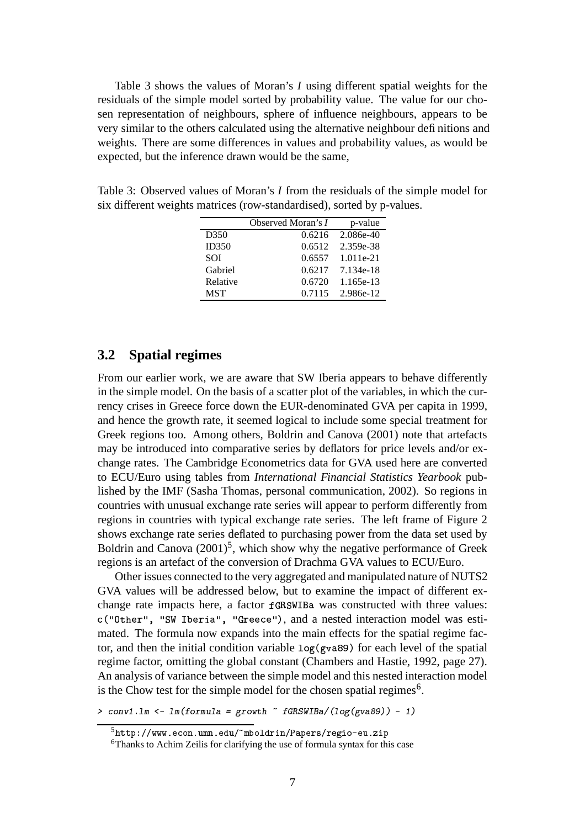Table 3 shows the values of Moran's *I* using different spatial weights for the residuals of the simple model sorted by probability value. The value for our chosen representation of neighbours, sphere of influence neighbours, appears to be very similar to the others calculated using the alternative neighbour definitions and weights. There are some differences in values and probability values, as would be expected, but the inference drawn would be the same,

|                  | Observed Moran's I | p-value   |
|------------------|--------------------|-----------|
| D <sub>350</sub> | 0.6216             | 2.086e-40 |
| ID350            | 0.6512             | 2.359e-38 |
| <b>SOI</b>       | 0.6557             | 1.011e-21 |
| Gabriel          | 0.6217             | 7.134e-18 |
| Relative         | 0.6720             | 1.165e-13 |
| <b>MST</b>       | 0.7115             | 2.986e-12 |

Table 3: Observed values of Moran's *I* from the residuals of the simple model for six different weights matrices (row-standardised), sorted by p-values.

#### **3.2 Spatial regimes**

From our earlier work, we are aware that SW Iberia appears to behave differently in the simple model. On the basis of a scatter plot of the variables, in which the currency crises in Greece force down the EUR-denominated GVA per capita in 1999, and hence the growth rate, it seemed logical to include some special treatment for Greek regions too. Among others, Boldrin and Canova (2001) note that artefacts may be introduced into comparative series by deflators for price levels and/or exchange rates. The Cambridge Econometrics data for GVA used here are converted to ECU/Euro using tables from *International Financial Statistics Yearbook* published by the IMF (Sasha Thomas, personal communication, 2002). So regions in countries with unusual exchange rate series will appear to perform differently from regions in countries with typical exchange rate series. The left frame of Figure 2 shows exchange rate series deflated to purchasing power from the data set used by Boldrin and Canova  $(2001)^5$ , which show why the negative performance of Greek regions is an artefact of the conversion of Drachma GVA values to ECU/Euro.

Other issues connected to the very aggregated and manipulated nature of NUTS2 GVA values will be addressed below, but to examine the impact of different exchange rate impacts here, a factor fGRSWIBa was constructed with three values: c("Other", "SW Iberia", "Greece"), and a nested interaction model was estimated. The formula now expands into the main effects for the spatial regime factor, and then the initial condition variable  $log(gva89)$  for each level of the spatial regime factor, omitting the global constant (Chambers and Hastie, 1992, page 27). An analysis of variance between the simple model and this nested interaction model is the Chow test for the simple model for the chosen spatial regimes<sup>6</sup>.

!#"%\$ &)(\*-,/.:(+\*2143 !5\*%7-(8:90;5!/</=#> ? 3! "\$#%'&8( 1(!6;B1;\$-8/DEFEGEG .) <sup>G</sup>

 $^5$ http://www.econ.umn.edu/~mboldrin/Papers/regio-eu.zip

<sup>6</sup>Thanks to Achim Zeilis for clarifying the use of formula syntax for this case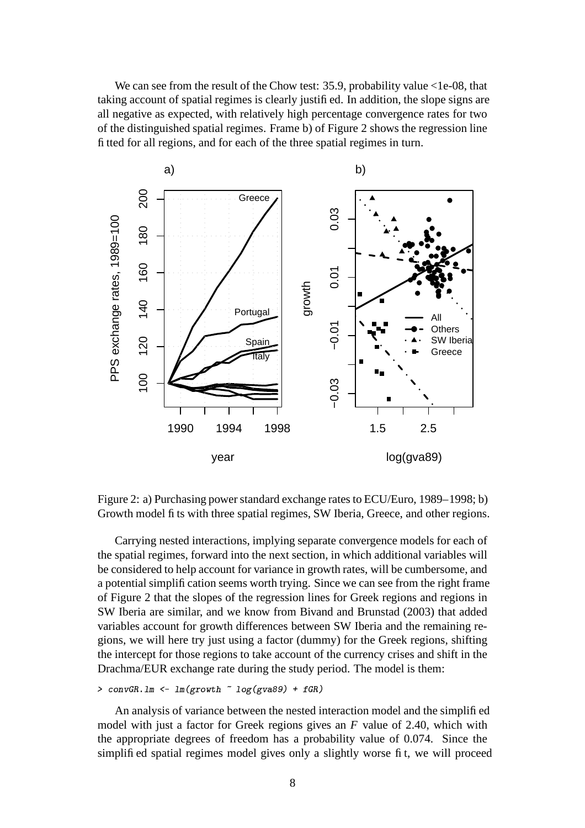We can see from the result of the Chow test: 35.9, probability value  $\leq 1e^{-0.08}$ , that taking account of spatial regimes is clearly justified. In addition, the slope signs are all negative as expected, with relatively high percentage convergence rates for two of the distinguished spatial regimes. Frame b) of Figure 2 shows the regression line fitted for all regions, and for each of the three spatial regimes in turn.



Figure 2: a) Purchasing power standard exchange rates to ECU/Euro, 1989–1998; b) Growth model fits with three spatial regimes, SW Iberia, Greece, and other regions.

Carrying nested interactions, implying separate convergence models for each of the spatial regimes, forward into the next section, in which additional variables will be considered to help account for variance in growth rates, will be cumbersome, and a potential simplification seems worth trying. Since we can see from the right frame of Figure 2 that the slopes of the regression lines for Greek regions and regions in SW Iberia are similar, and we know from Bivand and Brunstad (2003) that added variables account for growth differences between SW Iberia and the remaining regions, we will here try just using a factor (dummy) for the Greek regions, shifting the intercept for those regions to take account of the currency crises and shift in the Drachma/EUR exchange rate during the study period. The model is them:

```
 !#"%$! & (+*-,/.0(+*B1C;5!/</=#>@? (
!6;B1;%$8/DFG  3! G
```
An analysis of variance between the nested interaction model and the simplified model with just a factor for Greek regions gives an *F* value of 2.40, which with the appropriate degrees of freedom has a probability value of 0.074. Since the simplified spatial regimes model gives only a slightly worse fit, we will proceed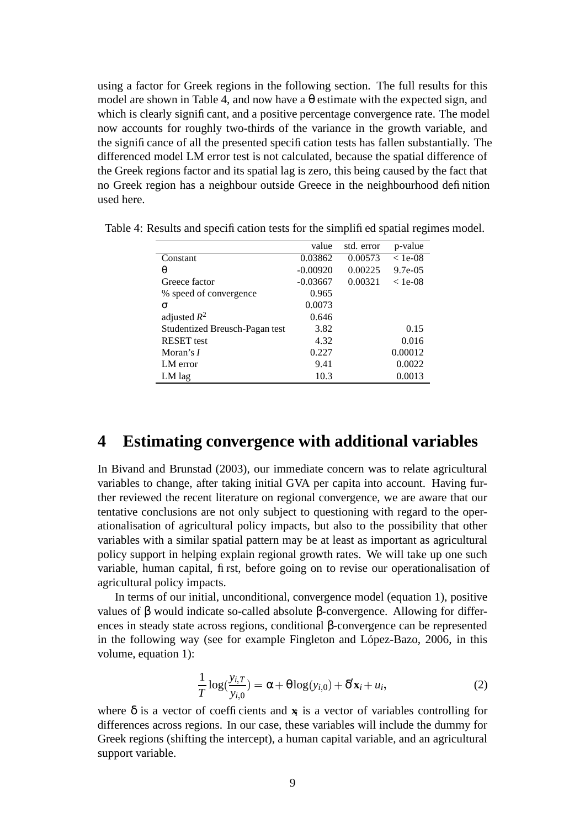using a factor for Greek regions in the following section. The full results for this model are shown in Table 4, and now have a  $\theta$  estimate with the expected sign, and which is clearly significant, and a positive percentage convergence rate. The model now accounts for roughly two-thirds of the variance in the growth variable, and the significance of all the presented specification tests has fallen substantially. The differenced model LM error test is not calculated, because the spatial difference of the Greek regions factor and its spatial lag is zero, this being caused by the fact that no Greek region has a neighbour outside Greece in the neighbourhood definition used here.

|                                | value      | std. error | p-value    |
|--------------------------------|------------|------------|------------|
| Constant                       | 0.03862    | 0.00573    | $<$ 1e-08  |
| θ                              | $-0.00920$ | 0.00225    | $9.7e-0.5$ |
| Greece factor                  | $-0.03667$ | 0.00321    | $< 1e-08$  |
| % speed of convergence         | 0.965      |            |            |
| σ                              | 0.0073     |            |            |
| adjusted $R^2$                 | 0.646      |            |            |
| Studentized Breusch-Pagan test | 3.82       |            | 0.15       |
| <b>RESET</b> test              | 4.32       |            | 0.016      |
| Moran's $I$                    | 0.227      |            | 0.00012    |
| LM error                       | 9.41       |            | 0.0022     |
| LM lag                         | 10.3       |            | 0.0013     |

Table 4: Results and specification tests for the simplified spatial regimes model.

### **4 Estimating convergence with additional variables**

In Bivand and Brunstad (2003), our immediate concern was to relate agricultural variables to change, after taking initial GVA per capita into account. Having further reviewed the recent literature on regional convergence, we are aware that our tentative conclusions are not only subject to questioning with regard to the operationalisation of agricultural policy impacts, but also to the possibility that other variables with a similar spatial pattern may be at least as important as agricultural policy support in helping explain regional growth rates. We will take up one such variable, human capital, first, before going on to revise our operationalisation of agricultural policy impacts.

In terms of our initial, unconditional, convergence model (equation 1), positive values of β would indicate so-called absolute β-convergence. Allowing for differences in steady state across regions, conditional β-convergence can be represented in the following way (see for example Fingleton and López-Bazo, 2006, in this volume, equation 1):

$$
\frac{1}{T}\log(\frac{y_{i,T}}{y_{i,0}}) = \alpha + \theta \log(y_{i,0}) + \delta' \mathbf{x}_i + u_i,
$$
\n(2)

where  $\delta$  is a vector of coefficients and  $\mathbf{x}$  is a vector of variables controlling for differences across regions. In our case, these variables will include the dummy for Greek regions (shifting the intercept), a human capital variable, and an agricultural support variable.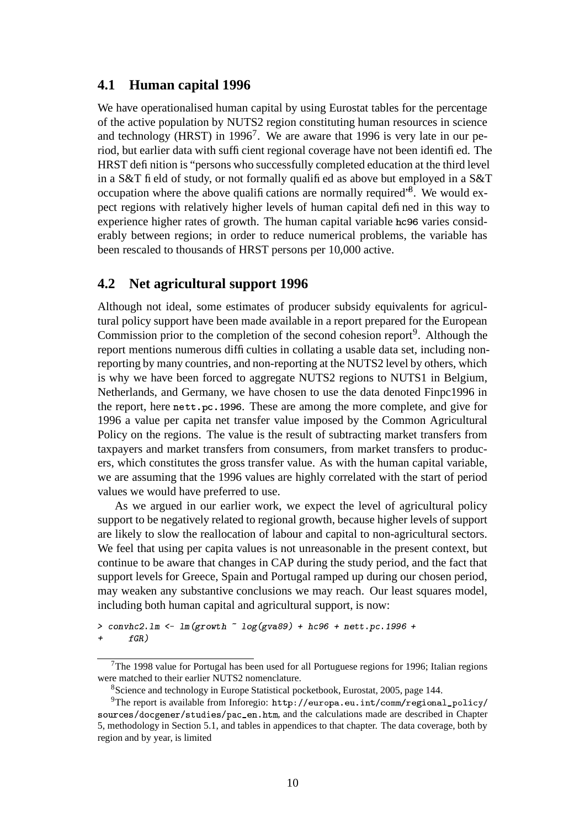#### **4.1 Human capital 1996**

We have operationalised human capital by using Eurostat tables for the percentage of the active population by NUTS2 region constituting human resources in science and technology (HRST) in 1996<sup>7</sup>. We are aware that 1996 is very late in our period, but earlier data with sufficient regional coverage have not been identified. The HRST definition is "persons who successfully completed education at the third level in a S&T field of study, or not formally qualified as above but employed in a S&T occupation where the above qualifications are normally required<sup>8</sup>. We would expect regions with relatively higher levels of human capital defined in this way to experience higher rates of growth. The human capital variable hc96 varies considerably between regions; in order to reduce numerical problems, the variable has been rescaled to thousands of HRST persons per 10,000 active.

#### **4.2 Net agricultural support 1996**

Although not ideal, some estimates of producer subsidy equivalents for agricultural policy support have been made available in a report prepared for the European Commission prior to the completion of the second cohesion report<sup>9</sup>. Although the report mentions numerous difficulties in collating a usable data set, including nonreporting by many countries, and non-reporting at the NUTS2 level by others, which is why we have been forced to aggregate NUTS2 regions to NUTS1 in Belgium, Netherlands, and Germany, we have chosen to use the data denoted Finpc1996 in the report, here nett.pc.1996. These are among the more complete, and give for 1996 a value per capita net transfer value imposed by the Common Agricultural Policy on the regions. The value is the result of subtracting market transfers from taxpayers and market transfers from consumers, from market transfers to producers, which constitutes the gross transfer value. As with the human capital variable, we are assuming that the 1996 values are highly correlated with the start of period values we would have preferred to use.

As we argued in our earlier work, we expect the level of agricultural policy support to be negatively related to regional growth, because higher levels of support are likely to slow the reallocation of labour and capital to non-agricultural sectors. We feel that using per capita values is not unreasonable in the present context, but continue to be aware that changes in CAP during the study period, and the fact that support levels for Greece, Spain and Portugal ramped up during our chosen period, may weaken any substantive conclusions we may reach. Our least squares model, including both human capital and agricultural support, is now:

```
\blacksquare , \blacksquare , \blacksquare , \blacksquare , \blacksquare , \blacksquare , \blacksquare , \blacksquare , \blacksquare , \blacksquare , \blacksquare , \blacksquarefGR)
```
 $7$ The 1998 value for Portugal has been used for all Portuguese regions for 1996; Italian regions were matched to their earlier NUTS2 nomenclature.

<sup>8</sup>Science and technology in Europe Statistical pocketbook, Eurostat, 2005, page 144.

 $^9$ The report is available from Inforegio: http://europa.eu.int/comm/regional\_policy/ sources/docgener/studies/pac\_en.htm, and the calculations made are described in Chapter 5, methodology in Section 5.1, and tables in appendices to that chapter. The data coverage, both by region and by year, is limited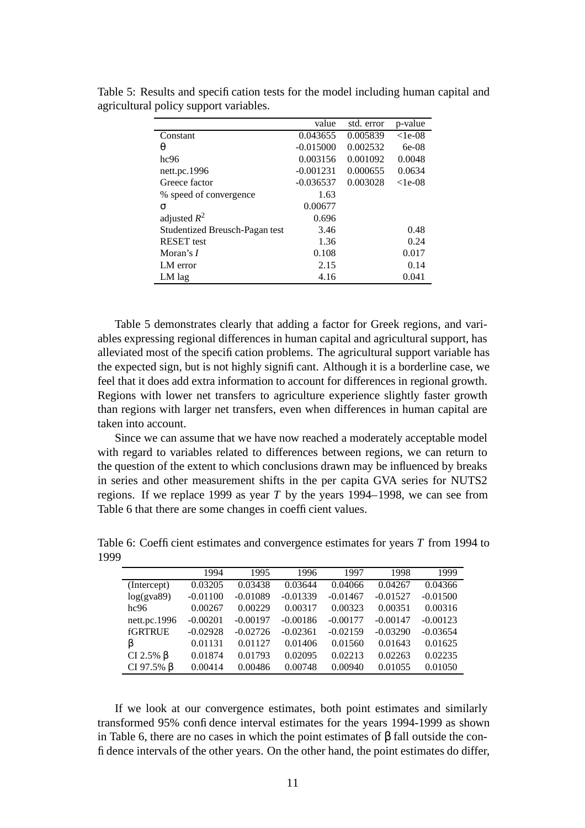|                                | value       | std. error | p-value   |
|--------------------------------|-------------|------------|-----------|
| Constant                       | 0.043655    | 0.005839   | $<$ 1e-08 |
| θ                              | $-0.015000$ | 0.002532   | $6e-08$   |
| hc96                           | 0.003156    | 0.001092   | 0.0048    |
| nett.pc.1996                   | $-0.001231$ | 0.000655   | 0.0634    |
| Greece factor                  | $-0.036537$ | 0.003028   | $<$ 1e-08 |
| % speed of convergence         | 1.63        |            |           |
| σ                              | 0.00677     |            |           |
| adjusted $R^2$                 | 0.696       |            |           |
| Studentized Breusch-Pagan test | 3.46        |            | 0.48      |
| <b>RESET</b> test              | 1.36        |            | 0.24      |
| Moran's $I$                    | 0.108       |            | 0.017     |
| LM error                       | 2.15        |            | 0.14      |
| LM lag                         | 4.16        |            | 0.041     |

Table 5: Results and specification tests for the model including human capital and agricultural policy support variables.

Table 5 demonstrates clearly that adding a factor for Greek regions, and variables expressing regional differences in human capital and agricultural support, has alleviated most of the specification problems. The agricultural support variable has the expected sign, but is not highly significant. Although it is a borderline case, we feel that it does add extra information to account for differences in regional growth. Regions with lower net transfers to agriculture experience slightly faster growth than regions with larger net transfers, even when differences in human capital are taken into account.

Since we can assume that we have now reached a moderately acceptable model with regard to variables related to differences between regions, we can return to the question of the extent to which conclusions drawn may be influenced by breaks in series and other measurement shifts in the per capita GVA series for NUTS2 regions. If we replace 1999 as year *T* by the years 1994–1998, we can see from Table 6 that there are some changes in coefficient values.

|                  | 1994       | 1995       | 1996       | 1997       | 1998       | 1999       |
|------------------|------------|------------|------------|------------|------------|------------|
| (Intercept)      | 0.03205    | 0.03438    | 0.03644    | 0.04066    | 0.04267    | 0.04366    |
| log(gva89)       | $-0.01100$ | $-0.01089$ | $-0.01339$ | $-0.01467$ | $-0.01527$ | $-0.01500$ |
| hc96             | 0.00267    | 0.00229    | 0.00317    | 0.00323    | 0.00351    | 0.00316    |
| nett.pc.1996     | $-0.00201$ | $-0.00197$ | $-0.00186$ | $-0.00177$ | $-0.00147$ | $-0.00123$ |
| <b>fGRTRUE</b>   | $-0.02928$ | $-0.02726$ | $-0.02361$ | $-0.02159$ | $-0.03290$ | $-0.03654$ |
| β                | 0.01131    | 0.01127    | 0.01406    | 0.01560    | 0.01643    | 0.01625    |
| CI 2.5% $\beta$  | 0.01874    | 0.01793    | 0.02095    | 0.02213    | 0.02263    | 0.02235    |
| CI 97.5% $\beta$ | 0.00414    | 0.00486    | 0.00748    | 0.00940    | 0.01055    | 0.01050    |

Table 6: Coefficient estimates and convergence estimates for years *T* from 1994 to 1999

If we look at our convergence estimates, both point estimates and similarly transformed 95% confidence interval estimates for the years 1994-1999 as shown in Table 6, there are no cases in which the point estimates of β fall outside the confidence intervals of the other years. On the other hand, the point estimates do differ,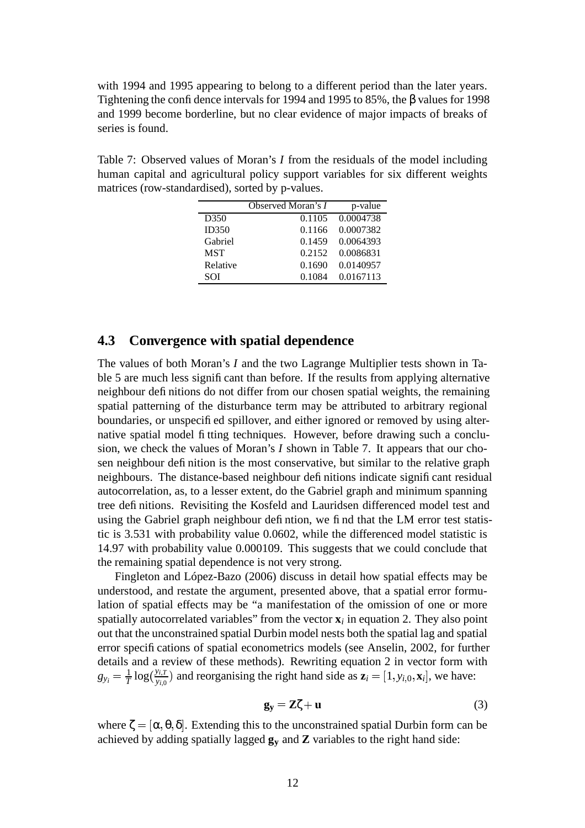with 1994 and 1995 appearing to belong to a different period than the later years. Tightening the confidence intervals for 1994 and 1995 to 85%, the  $\beta$  values for 1998 and 1999 become borderline, but no clear evidence of major impacts of breaks of series is found.

Table 7: Observed values of Moran's *I* from the residuals of the model including human capital and agricultural policy support variables for six different weights matrices (row-standardised), sorted by p-values.

|            | Observed Moran's I | p-value   |
|------------|--------------------|-----------|
| D350       | 0.1105             | 0.0004738 |
| ID350      | 0.1166             | 0.0007382 |
| Gabriel    | 0.1459             | 0.0064393 |
| <b>MST</b> | 0.2152             | 0.0086831 |
| Relative   | 0.1690             | 0.0140957 |
| SOI        | 0.1084             | 0.0167113 |

#### **4.3 Convergence with spatial dependence**

The values of both Moran's *I* and the two Lagrange Multiplier tests shown in Table 5 are much less significant than before. If the results from applying alternative neighbour definitions do not differ from our chosen spatial weights, the remaining spatial patterning of the disturbance term may be attributed to arbitrary regional boundaries, or unspecified spillover, and either ignored or removed by using alternative spatial model fitting techniques. However, before drawing such a conclusion, we check the values of Moran's *I* shown in Table 7. It appears that our chosen neighbour definition is the most conservative, but similar to the relative graph neighbours. The distance-based neighbour definitions indicate significant residual autocorrelation, as, to a lesser extent, do the Gabriel graph and minimum spanning tree definitions. Revisiting the Kosfeld and Lauridsen differenced model test and using the Gabriel graph neighbour defintion, we find that the LM error test statistic is 3.531 with probability value 0.0602, while the differenced model statistic is 14.97 with probability value 0.000109. This suggests that we could conclude that the remaining spatial dependence is not very strong.

Fingleton and López-Bazo (2006) discuss in detail how spatial effects may be understood, and restate the argument, presented above, that a spatial error formulation of spatial effects may be "a manifestation of the omission of one or more spatially autocorrelated variables" from the vector  $\mathbf{x}_i$  in equation 2. They also point out that the unconstrained spatial Durbin model nests both the spatial lag and spatial error specifications of spatial econometrics models (see Anselin, 2002, for further details and a review of these methods). Rewriting equation 2 in vector form with  $g_{y_i} = \frac{1}{T} \log(\frac{y_{i,T}}{y_{i,0}})$  and  $\frac{1}{T}$ log $\left(\frac{y_{i,T}}{y_{i,0}}\right)$  a  $y_{i,0}^{y_i, T}$  and reorganising the right hand side as  $z_i = [1, y_{i,0}, x_i]$ , we have:

$$
g_y = Z\zeta + u \tag{3}
$$

where  $\zeta = [\alpha, \theta, \delta]$ . Extending this to the unconstrained spatial Durbin form can be achieved by adding spatially lagged  $g_\text{v}$  and **Z** variables to the right hand side: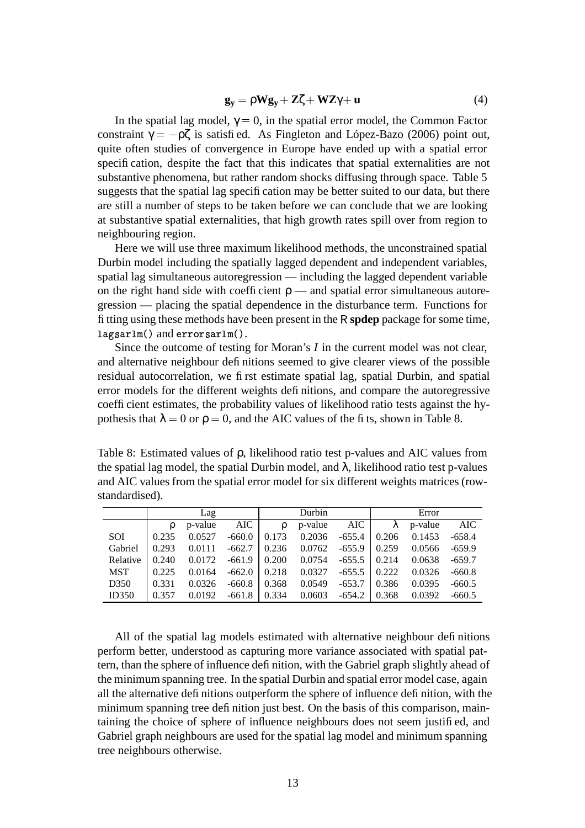$$
\mathbf{g}_{\mathbf{y}} = \rho \mathbf{W} \mathbf{g}_{\mathbf{y}} + \mathbf{Z}\zeta + \mathbf{W}\mathbf{Z}\gamma + \mathbf{u}
$$
 (4)

In the spatial lag model,  $\gamma = 0$ , in the spatial error model, the Common Factor constraint  $\gamma = -\rho \zeta$  is satisfied. As Fingleton and López-Bazo (2006) point out, quite often studies of convergence in Europe have ended up with a spatial error specification, despite the fact that this indicates that spatial externalities are not substantive phenomena, but rather random shocks diffusing through space. Table 5 suggests that the spatial lag specification may be better suited to our data, but there are still a number of steps to be taken before we can conclude that we are looking at substantive spatial externalities, that high growth rates spill over from region to neighbouring region.

Here we will use three maximum likelihood methods, the unconstrained spatial Durbin model including the spatially lagged dependent and independent variables, spatial lag simultaneous autoregression — including the lagged dependent variable on the right hand side with coefficient  $\rho$  — and spatial error simultaneous autoregression — placing the spatial dependence in the disturbance term. Functions for fitting using these methods have been present in the **spdep** package for some time, lagsarlm() and errorsarlm().

Since the outcome of testing for Moran's *I* in the current model was not clear, and alternative neighbour definitions seemed to give clearer views of the possible residual autocorrelation, we first estimate spatial lag, spatial Durbin, and spatial error models for the different weights definitions, and compare the autoregressive coefficient estimates, the probability values of likelihood ratio tests against the hypothesis that  $\lambda = 0$  or  $\rho = 0$ , and the AIC values of the fits, shown in Table 8.

Table 8: Estimated values of ρ, likelihood ratio test p-values and AIC values from the spatial lag model, the spatial Durbin model, and  $\lambda$ , likelihood ratio test p-values and AIC values from the spatial error model for six different weights matrices (rowstandardised).

|                  | Lag               |         |                  | Durbin |                       |                       | Error |                  |          |
|------------------|-------------------|---------|------------------|--------|-----------------------|-----------------------|-------|------------------|----------|
|                  | 0                 | p-value | $A\overline{IC}$ | $\rho$ |                       | p-value AIC $\lambda$ |       | p-value          | AIC      |
| SOI              | 0.235             | 0.0527  | -660.0           | 0.173  | 0.2036                | $-655.4$ 0.206        |       | $0.1453 - 658.4$ |          |
| Gabriel          | 0.293             | 0.0111  |                  |        | $-662.7$ 0.236 0.0762 | $-655.9$ 0.259        |       | 0.0566           | -659.9   |
| Relative         | 0.240             | 0.0172  | $-661.9$ 0.200   |        | 0.0754                | $-655.5 \pm 0.214$    |       | 0.0638           | -659.7   |
| <b>MST</b>       | $\mid 0.225 \mid$ | 0.0164  | $-662.0$ 0.218   |        | 0.0327                | $-655.5$ 0.222        |       | 0.0326           | -660.8   |
| D <sub>350</sub> | 0.331             | 0.0326  | $-660.8$         | 0.368  | 0.0549                | $-653.7 \pm 0.386$    |       | 0.0395           | -660.5   |
| <b>ID350</b>     | 0.357             | 0.0192  | -661.8           | 0.334  | 0.0603                | $-654.2 \pm 0.368$    |       | 0.0392           | $-660.5$ |

All of the spatial lag models estimated with alternative neighbour definitions perform better, understood as capturing more variance associated with spatial pattern, than the sphere of influence definition, with the Gabriel graph slightly ahead of the minimum spanning tree. In the spatial Durbin and spatial error model case, again all the alternative definitions outperform the sphere of influence definition, with the minimum spanning tree definition just best. On the basis of this comparison, maintaining the choice of sphere of influence neighbours does not seem justified, and Gabriel graph neighbours are used for the spatial lag model and minimum spanning tree neighbours otherwise.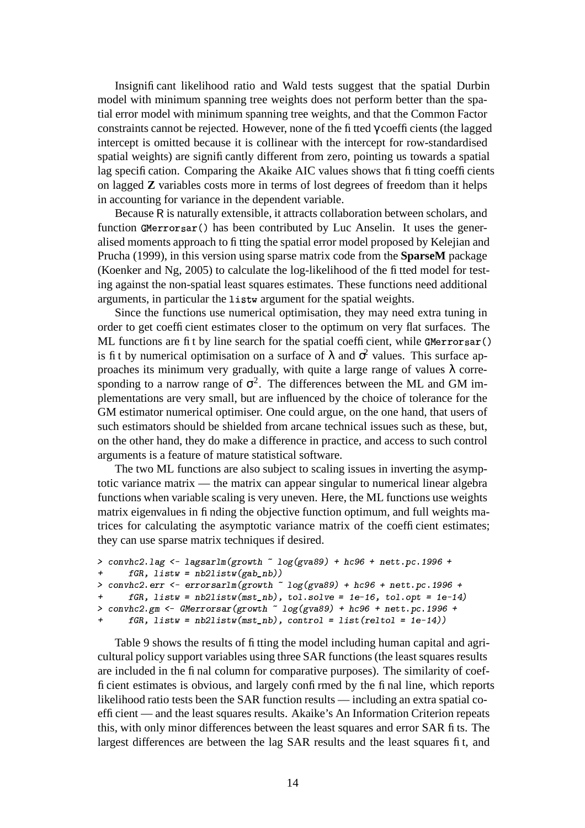Insignificant likelihood ratio and Wald tests suggest that the spatial Durbin model with minimum spanning tree weights does not perform better than the spatial error model with minimum spanning tree weights, and that the Common Factor constraints cannot be rejected. However, none of the fitted  $\gamma$  coefficients (the lagged intercept is omitted because it is collinear with the intercept for row-standardised spatial weights) are significantly different from zero, pointing us towards a spatial lag specification. Comparing the Akaike AIC values shows that fitting coefficients on lagged **Z** variables costs more in terms of lost degrees of freedom than it helps in accounting for variance in the dependent variable.

Because R is naturally extensible, it attracts collaboration between scholars, and function GMerrorsar() has been contributed by Luc Anselin. It uses the generalised moments approach to fitting the spatial error model proposed by Kelejian and Prucha (1999), in this version using sparse matrix code from the **SparseM** package (Koenker and Ng, 2005) to calculate the log-likelihood of the fitted model for testing against the non-spatial least squares estimates. These functions need additional arguments, in particular the listw argument for the spatial weights.

Since the functions use numerical optimisation, they may need extra tuning in order to get coefficient estimates closer to the optimum on very flat surfaces. The ML functions are fit by line search for the spatial coefficient, while GMerrorsar () is fit by numerical optimisation on a surface of  $\lambda$  and  $\sigma^2$  values. This surface approaches its minimum very gradually, with quite a large range of values  $\lambda$  corresponding to a narrow range of  $\sigma^2$ . The differences between the ML and GM implementations are very small, but are influenced by the choice of tolerance for the GM estimator numerical optimiser. One could argue, on the one hand, that users of such estimators should be shielded from arcane technical issues such as these, but, on the other hand, they do make a difference in practice, and access to such control arguments is a feature of mature statistical software.

The two ML functions are also subject to scaling issues in inverting the asymptotic variance matrix — the matrix can appear singular to numerical linear algebra functions when variable scaling is very uneven. Here, the ML functions use weights matrix eigenvalues in finding the objective function optimum, and full weights matrices for calculating the asymptotic variance matrix of the coefficient estimates; they can use sparse matrix techniques if desired.

```
 !#"%$#>  &)(8; ,/.0(8;-
E8+5
(+*21;5!/<=> ?A(
!#;B1C;%$8EDFEG  > F	  "
/=/='&
  & -
F/F 
\sim 0.00 \pm 1.01, 1.01, 1.1,
 !#"%$#>  & 
5/5 ,/. 
5/5!65
/8+5
(*21C;5!<=> ? (
!6;B1;%$8/DFG  > F  "
=/=
&
 
&  F/F 
 3!  (=E< 9:"	(=E< 1*	=-
"	-
G	 =E!-
( &!-
($	
09  
.
 	 =!-
( & !'=:9  
.
G
 !#"%$#>  & ;E* ,/. 
5/5!65
/8+5 1;5!/<E=#> ?A(!6;B1C;%$-
8/DFEG  >%F  " 
=/='&
 
& -
F/F	 
 3!  (=E< 9:"	(=E< 1*	=-
"	-
G	 !6"%=#5!-
( 9 (='15
-
(=!-
( 9  
.G/G
```
Table 9 shows the results of fitting the model including human capital and agricultural policy support variables using three SAR functions(the least squares results are included in the final column for comparative purposes). The similarity of coefficient estimates is obvious, and largely confirmed by the final line, which reports likelihood ratio tests been the SAR function results — including an extra spatial coefficient — and the least squares results. Akaike's An Information Criterion repeats this, with only minor differences between the least squares and error SAR fits. The largest differences are between the lag SAR results and the least squares fit, and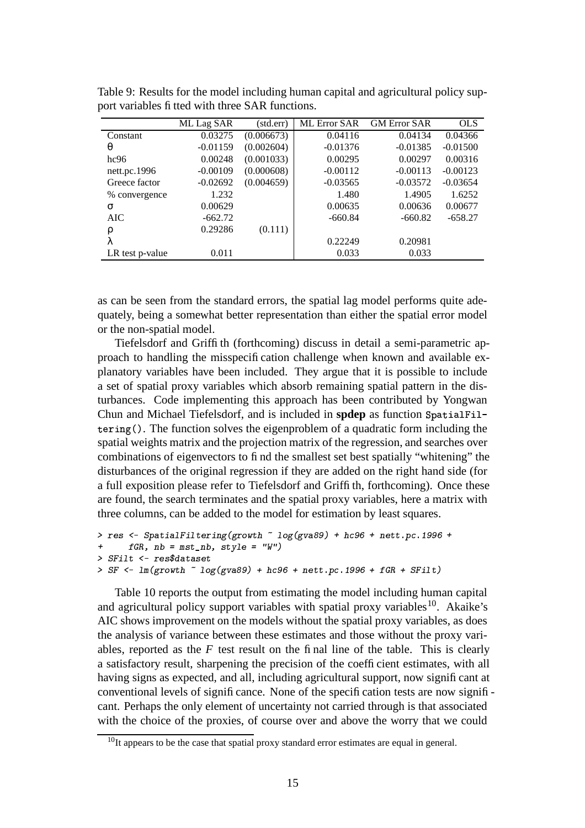|                 | ML Lag SAR | (std.err)  | <b>ML Error SAR</b> | <b>GM Error SAR</b> | <b>OLS</b> |
|-----------------|------------|------------|---------------------|---------------------|------------|
| Constant        | 0.03275    | (0.006673) | 0.04116             | 0.04134             | 0.04366    |
| θ               | $-0.01159$ | (0.002604) | $-0.01376$          | $-0.01385$          | $-0.01500$ |
| hc96            | 0.00248    | (0.001033) | 0.00295             | 0.00297             | 0.00316    |
| nett.pc.1996    | $-0.00109$ | (0.000608) | $-0.00112$          | $-0.00113$          | $-0.00123$ |
| Greece factor   | $-0.02692$ | (0.004659) | $-0.03565$          | $-0.03572$          | $-0.03654$ |
| % convergence   | 1.232      |            | 1.480               | 1.4905              | 1.6252     |
| $\sigma$        | 0.00629    |            | 0.00635             | 0.00636             | 0.00677    |
| <b>AIC</b>      | $-662.72$  |            | $-660.84$           | $-660.82$           | $-658.27$  |
| ρ               | 0.29286    | (0.111)    |                     |                     |            |
| λ               |            |            | 0.22249             | 0.20981             |            |
| LR test p-value | 0.011      |            | 0.033               | 0.033               |            |

Table 9: Results for the model including human capital and agricultural policy support variables fitted with three SAR functions.

as can be seen from the standard errors, the spatial lag model performs quite adequately, being a somewhat better representation than either the spatial error model or the non-spatial model.

Tiefelsdorf and Griffith (forthcoming) discuss in detail a semi-parametric approach to handling the misspecification challenge when known and available explanatory variables have been included. They argue that it is possible to include a set of spatial proxy variables which absorb remaining spatial pattern in the disturbances. Code implementing this approach has been contributed by Yongwan Chun and Michael Tiefelsdorf, and is included in spdep as function SpatialFiltering(). The function solves the eigenproblem of a quadratic form including the spatial weights matrix and the projection matrix of the regression, and searches over combinations of eigenvectors to find the smallest set best spatially "whitening" the disturbances of the original regression if they are added on the right hand side (for a full exposition please refer to Tiefelsdorf and Griffith, forthcoming). Once these are found, the search terminates and the spatial proxy variables, here a matrix with three columns, can be added to the model for estimation by least squares.

```
\mathcal{L} = \mathcal{L} = \mathcal{L} = \mathcal{L} = \mathcal{L} = \mathcal{L} = \mathcal{L} = \mathcal{L} = \mathcal{L} = \mathcal{L} = \mathcal{L} = \mathcal{L} = \mathcal{L} = \mathcal{L} = \mathcal{L} = \mathcal{L} = \mathcal{L} = \mathcal{L} = \mathcal{L} = \mathcal{L} = \mathcal{L} = \mathcal{L} = \mathcal{L} = \mathcal{L} = \mathcal{L} = \mathcal{L} = \mathcal{L} = \mathcal{L} = \mathcal{L} = \mathcal{L} = \mathcal{L} = \mathcal 3!  "  90*-
=-
" 
 =( 
 9	 #
 G
\blacksquare. \blacksquare " ,/.:(+*21;5!/<=>@? (
!6;B1C;$8/DFEG  > F  "
=/='&  
& -
FEF  3'  "-
 (=G
```
Table 10 reports the output from estimating the model including human capital and agricultural policy support variables with spatial proxy variables<sup>10</sup>. Akaike's AIC shows improvement on the models without the spatial proxy variables, as does the analysis of variance between these estimates and those without the proxy variables, reported as the *F* test result on the final line of the table. This is clearly a satisfactory result, sharpening the precision of the coefficient estimates, with all having signs as expected, and all, including agricultural support, now significant at conventional levels of significance. None of the specification tests are now significant. Perhaps the only element of uncertainty not carried through is that associated with the choice of the proxies, of course over and above the worry that we could

<sup>&</sup>lt;sup>10</sup>It appears to be the case that spatial proxy standard error estimates are equal in general.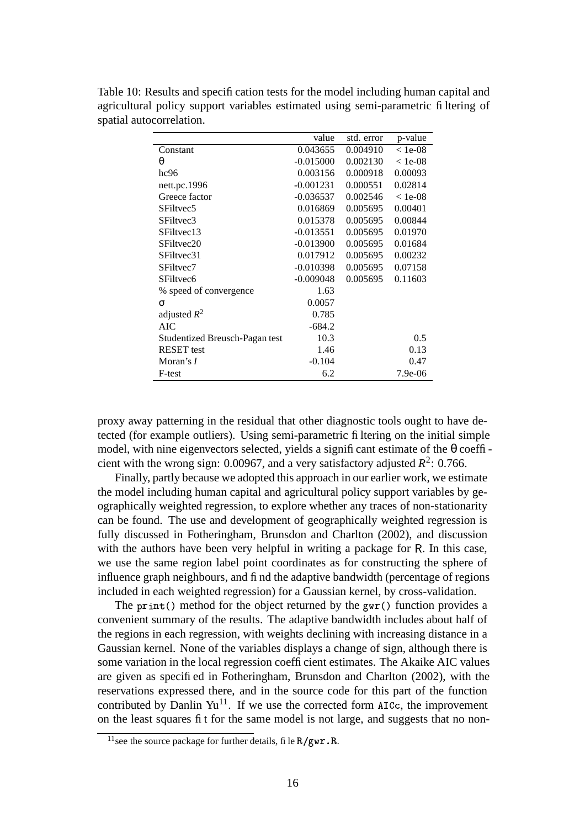|                                | value       | std. error | p-value   |
|--------------------------------|-------------|------------|-----------|
| Constant                       | 0.043655    | 0.004910   | $<$ 1e-08 |
| θ                              | $-0.015000$ | 0.002130   | $< 1e-08$ |
| hc96                           | 0.003156    | 0.000918   | 0.00093   |
| nett.pc.1996                   | $-0.001231$ | 0.000551   | 0.02814   |
| Greece factor                  | $-0.036537$ | 0.002546   | $< 1e-08$ |
| SFiltyec <sub>5</sub>          | 0.016869    | 0.005695   | 0.00401   |
| SFiltyec3                      | 0.015378    | 0.005695   | 0.00844   |
| SFiltvec13                     | $-0.013551$ | 0.005695   | 0.01970   |
| SFiltyec20                     | $-0.013900$ | 0.005695   | 0.01684   |
| SFiltyec31                     | 0.017912    | 0.005695   | 0.00232   |
| SFiltvec7                      | $-0.010398$ | 0.005695   | 0.07158   |
| SFiltyec <sub>6</sub>          | $-0.009048$ | 0.005695   | 0.11603   |
| % speed of convergence         | 1.63        |            |           |
| σ                              | 0.0057      |            |           |
| adjusted $R^2$                 | 0.785       |            |           |
| <b>AIC</b>                     | $-684.2$    |            |           |
| Studentized Breusch-Pagan test | 10.3        |            | 0.5       |
| <b>RESET</b> test              | 1.46        |            | 0.13      |
| Moran's $I$                    | $-0.104$    |            | 0.47      |
| F-test                         | 6.2         |            | $7.9e-06$ |

Table 10: Results and specification tests for the model including human capital and agricultural policy support variables estimated using semi-parametric filtering of spatial autocorrelation.

proxy away patterning in the residual that other diagnostic tools ought to have detected (for example outliers). Using semi-parametric filtering on the initial simple model, with nine eigenvectors selected, yields a significant estimate of the  $\theta$  coefficient with the wrong sign:  $0.00967$ , and a very satisfactory adjusted  $R^2$ : 0.766.

Finally, partly because we adopted this approach in our earlier work, we estimate the model including human capital and agricultural policy support variables by geographically weighted regression, to explore whether any traces of non-stationarity can be found. The use and development of geographically weighted regression is fully discussed in Fotheringham, Brunsdon and Charlton (2002), and discussion with the authors have been very helpful in writing a package for R. In this case, we use the same region label point coordinates as for constructing the sphere of influence graph neighbours, and find the adaptive bandwidth (percentage of regions included in each weighted regression) for a Gaussian kernel, by cross-validation.

The print () method for the object returned by the gwr () function provides a convenient summary of the results. The adaptive bandwidth includes about half of the regions in each regression, with weights declining with increasing distance in a Gaussian kernel. None of the variables displays a change of sign, although there is some variation in the local regression coefficient estimates. The Akaike AIC values are given as specified in Fotheringham, Brunsdon and Charlton (2002), with the reservations expressed there, and in the source code for this part of the function contributed by Danlin  $Yu^{11}$ . If we use the corrected form AICc, the improvement on the least squares fit for the same model is not large, and suggests that no non-

<sup>&</sup>lt;sup>11</sup> see the source package for further details, fi le  $R/gwr$ . R.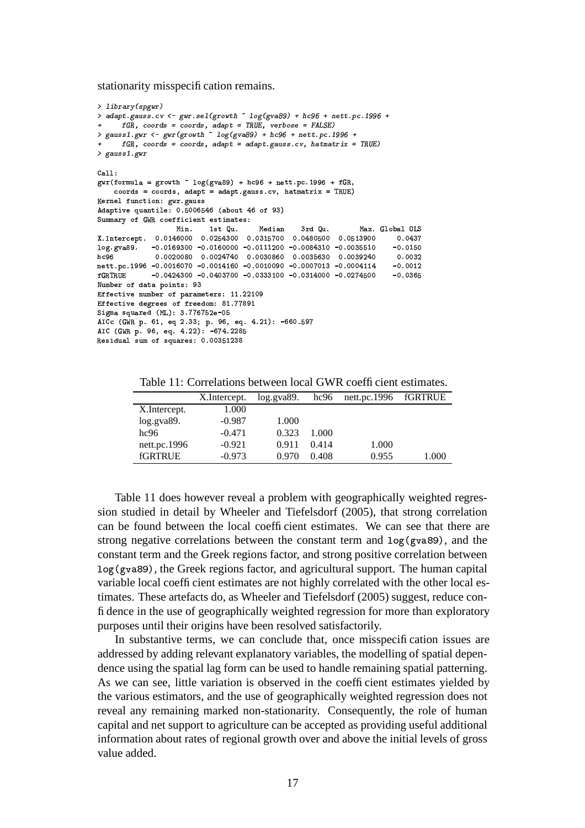stationarity misspecification remains.

```
-

-
			! "
#-
$%&'(
)!+*!,.-/*0#1	!2
3546,7"
385469( ":
338;4
         <=?>)@A"
**
!5BC"
**
!@D		;BFE>7G0H@I#(1+*(5B-
JKL!M
H;	! :C$%&'!+*!,.-N*0#1	!2
3-
4;,7"
386469( ":
33864
         <=?>)@A"
**
!5BC"
**
!@D		;BO			! "
#@P,	Q	0+ROBCE>7G0H> gauss1.gwr
Call:\frac{1}{2} \frac{1}{2} \frac{1}{2} \frac{1}{2} \frac{1}{2} \frac{1}{2} \frac{1}{2} \frac{1}{2} \frac{1}{2} \frac{1}{2} \frac{1}{2} \frac{1}{2} \frac{1}{2} \frac{1}{2} \frac{1}{2} \frac{1}{2} \frac{1}{2} \frac{1}{2} \frac{1}{2} \frac{1}{2} \frac{1}{2} \frac{1}{2} asseds — asseds  adamt — adamt wouse au  batmatein — TDIIP)
\overline{\phantom{a}}\mathbf{I} . The contraction of \mathbf{I} and \mathbf{I} and \mathbf{I} and \mathbf{I}\mathsf{P}_{\mathsf{current}} , and \mathsf{P}_{\mathsf{OPT}} , and \mathsf{P}_{\mathsf{OPT}} , and a set \mathsf{I}_{\mathsf{OPT}} , and
                            o r w i a to Yir Andre U and The Top
 r oc q Yl q t!csr  r  wm r  
 r  w?  r h   r  w i  r  
\mathcal{L} . An and a mind of a mind of and a morth of \mathcal{L} when \mathcal{L}dl im  r h r !
 r hm r   m r i  r 
o
q ccsrutlvrw iim   r  w m     r w+w m   r  w i   r    w    r +ww   r  w 
\overline{y}`1_
q YF^\O{Tc T t^ oc| Vi
\\ q l1c+gqo`1_
q YC^\OtTYT_q c q Y| V wwr  w i
\Box for the degree of foredom. 04 77004\alpha , \alpha , \alpha , \alpha , \alpha , \alpha , \alpha , \alpha , \alpha , \alpha , \alpha , \alpha , \alpha , \alpha , \alpha , \alpha , \alpha , \alpha , \alpha , \alpha , \alpha , \alpha , \alpha , \alpha , \alpha , \alpha , \alpha , \alpha , \alpha , \alpha , \alpha , \alpha\lambda tree (rup = c i and one in \alpha and \alpha and \alpha in \alpha is \alpha in \alpha in \alpha in \alpha is \alpha is \alpha is \alpha is \alpha is \alpha is \alpha is \alpha is \alpha is \alpha is \alpha is \alpha is \alpha is \alpha is \alpha is \alpha is \lambda Trivian \alpha \alpha \alpha \beta \beta \gamma \beta \gamma \beta \gamma\blacksquare ) \blacksquare . A resolution of \blacksquare
```
Table 11: Correlations between local GWR coefficient estimates.

|                | X.Intercept. | log.gva89. | hc96  | nett.pc.1996 fGRTRUE |       |
|----------------|--------------|------------|-------|----------------------|-------|
| X. Intercept.  | 1.000        |            |       |                      |       |
| $log.gv89$ .   | $-0.987$     | 1.000      |       |                      |       |
| hc96           | $-0.471$     | 0.323      | 1.000 |                      |       |
| nett.pc.1996   | $-0.921$     | 0.911      | 0.414 | 1.000                |       |
| <b>fGRTRUE</b> | $-0.973$     | 0.970      | 0.408 | 0.955                | 1.000 |

Table 11 does however reveal a problem with geographically weighted regression studied in detail by Wheeler and Tiefelsdorf (2005), that strong correlation can be found between the local coefficient estimates. We can see that there are strong negative correlations between the constant term and  $log(gva89)$ , and the constant term and the Greek regions factor, and strong positive correlation between log(gva89), the Greek regions factor, and agricultural support. The human capital variable local coefficient estimates are not highly correlated with the other local estimates. These artefacts do, as Wheeler and Tiefelsdorf (2005) suggest, reduce confidence in the use of geographically weighted regression for more than exploratory purposes until their origins have been resolved satisfactorily.

In substantive terms, we can conclude that, once misspecification issues are addressed by adding relevant explanatory variables, the modelling of spatial dependence using the spatial lag form can be used to handle remaining spatial patterning. As we can see, little variation is observed in the coefficient estimates yielded by the various estimators, and the use of geographically weighted regression does not reveal any remaining marked non-stationarity. Consequently, the role of human capital and net support to agriculture can be accepted as providing useful additional information about rates of regional growth over and above the initial levels of gross value added.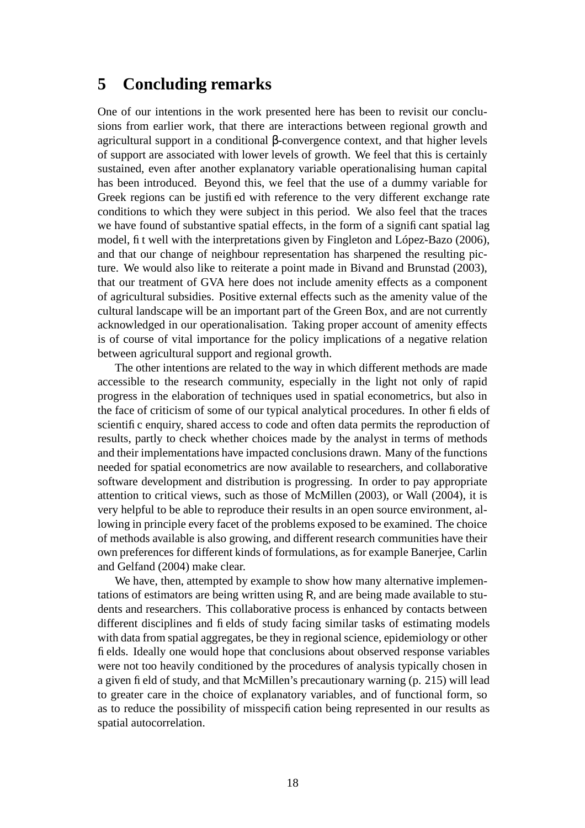### **5 Concluding remarks**

One of our intentions in the work presented here has been to revisit our conclusions from earlier work, that there are interactions between regional growth and agricultural support in a conditional β-convergence context, and that higher levels of support are associated with lower levels of growth. We feel that this is certainly sustained, even after another explanatory variable operationalising human capital has been introduced. Beyond this, we feel that the use of a dummy variable for Greek regions can be justified with reference to the very different exchange rate conditions to which they were subject in this period. We also feel that the traces we have found of substantive spatial effects, in the form of a significant spatial lag model, fit well with the interpretations given by Fingleton and López-Bazo (2006), and that our change of neighbour representation has sharpened the resulting picture. We would also like to reiterate a point made in Bivand and Brunstad (2003), that our treatment of GVA here does not include amenity effects as a component of agricultural subsidies. Positive external effects such as the amenity value of the cultural landscape will be an important part of the Green Box, and are not currently acknowledged in our operationalisation. Taking proper account of amenity effects is of course of vital importance for the policy implications of a negative relation between agricultural support and regional growth.

The other intentions are related to the way in which different methods are made accessible to the research community, especially in the light not only of rapid progress in the elaboration of techniques used in spatial econometrics, but also in the face of criticism of some of our typical analytical procedures. In other fields of scientific enquiry, shared access to code and often data permits the reproduction of results, partly to check whether choices made by the analyst in terms of methods and their implementations have impacted conclusions drawn. Many of the functions needed for spatial econometrics are now available to researchers, and collaborative software development and distribution is progressing. In order to pay appropriate attention to critical views, such as those of McMillen (2003), or Wall (2004), it is very helpful to be able to reproduce their results in an open source environment, allowing in principle every facet of the problems exposed to be examined. The choice of methods available is also growing, and different research communities have their own preferences for different kinds of formulations, as for example Banerjee, Carlin and Gelfand (2004) make clear.

We have, then, attempted by example to show how many alternative implementations of estimators are being written using  $R$ , and are being made available to students and researchers. This collaborative process is enhanced by contacts between different disciplines and fields of study facing similar tasks of estimating models with data from spatial aggregates, be they in regional science, epidemiology or other fields. Ideally one would hope that conclusions about observed response variables were not too heavily conditioned by the procedures of analysis typically chosen in a given field of study, and that McMillen's precautionary warning (p. 215) will lead to greater care in the choice of explanatory variables, and of functional form, so as to reduce the possibility of misspecification being represented in our results as spatial autocorrelation.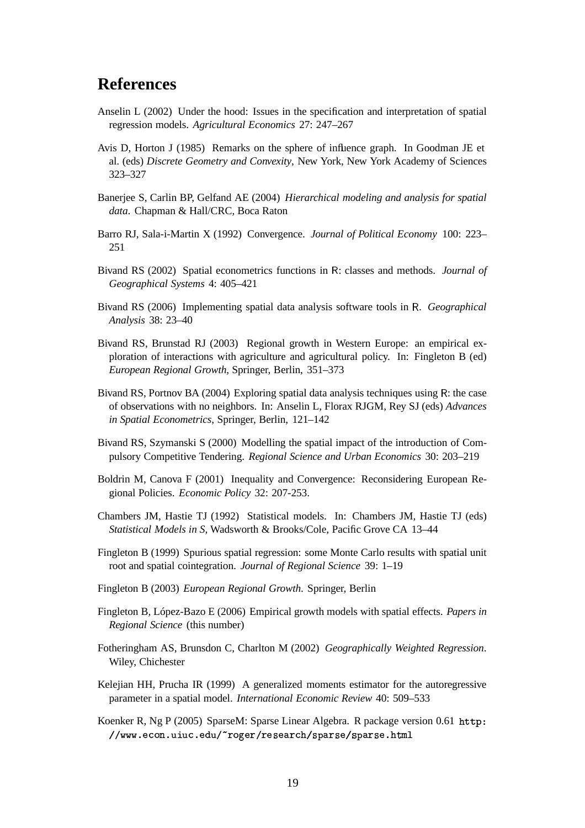## **References**

- Anselin L (2002) Under the hood: Issues in the specification and interpretation of spatial regression models. *Agricultural Economics* 27: 247–267
- Avis D, Horton J (1985) Remarks on the sphere of influence graph. In Goodman JE et al. (eds) *Discrete Geometry and Convexity*, New York, New York Academy of Sciences 323–327
- Banerjee S, Carlin BP, Gelfand AE (2004) *Hierarchical modeling and analysis for spatial data*. Chapman & Hall/CRC, Boca Raton
- Barro RJ, Sala-i-Martin X (1992) Convergence. *Journal of Political Economy* 100: 223– 251
- Bivand RS (2002) Spatial econometrics functions in R: classes and methods. *Journal of Geographical Systems* 4: 405–421
- Bivand RS (2006) Implementing spatial data analysis software tools in R. Geographical *Analysis* 38: 23–40
- Bivand RS, Brunstad RJ (2003) Regional growth in Western Europe: an empirical exploration of interactions with agriculture and agricultural policy. In: Fingleton B (ed) *European Regional Growth*, Springer, Berlin, 351–373
- Bivand RS, Portnov BA (2004) Exploring spatial data analysis techniques using R: the case of observations with no neighbors. In: Anselin L, Florax RJGM, Rey SJ (eds) *Advances in Spatial Econometrics*, Springer, Berlin, 121–142
- Bivand RS, Szymanski S (2000) Modelling the spatial impact of the introduction of Compulsory Competitive Tendering. *Regional Science and Urban Economics* 30: 203–219
- Boldrin M, Canova F (2001) Inequality and Convergence: Reconsidering European Regional Policies. *Economic Policy* 32: 207-253.
- Chambers JM, Hastie TJ (1992) Statistical models. In: Chambers JM, Hastie TJ (eds) *Statistical Models in S*, Wadsworth & Brooks/Cole, Pacific Grove CA 13–44
- Fingleton B (1999) Spurious spatial regression: some Monte Carlo results with spatial unit root and spatial cointegration. *Journal of Regional Science* 39: 1–19
- Fingleton B (2003) *European Regional Growth*. Springer, Berlin
- Fingleton B, López-Bazo E (2006) Empirical growth models with spatial effects. *Papers in Regional Science* (this number)
- Fotheringham AS, Brunsdon C, Charlton M (2002) *Geographically Weighted Regression*. Wiley, Chichester
- Kelejian HH, Prucha IR (1999) A generalized moments estimator for the autoregressive parameter in a spatial model. *International Economic Review* 40: 509–533
- Koenker R, Ng P (2005) SparseM: Sparse Linear Algebra. R package version 0.61 http: //www.econ.uiuc.edu/~roger/research/sparse/sparse.html